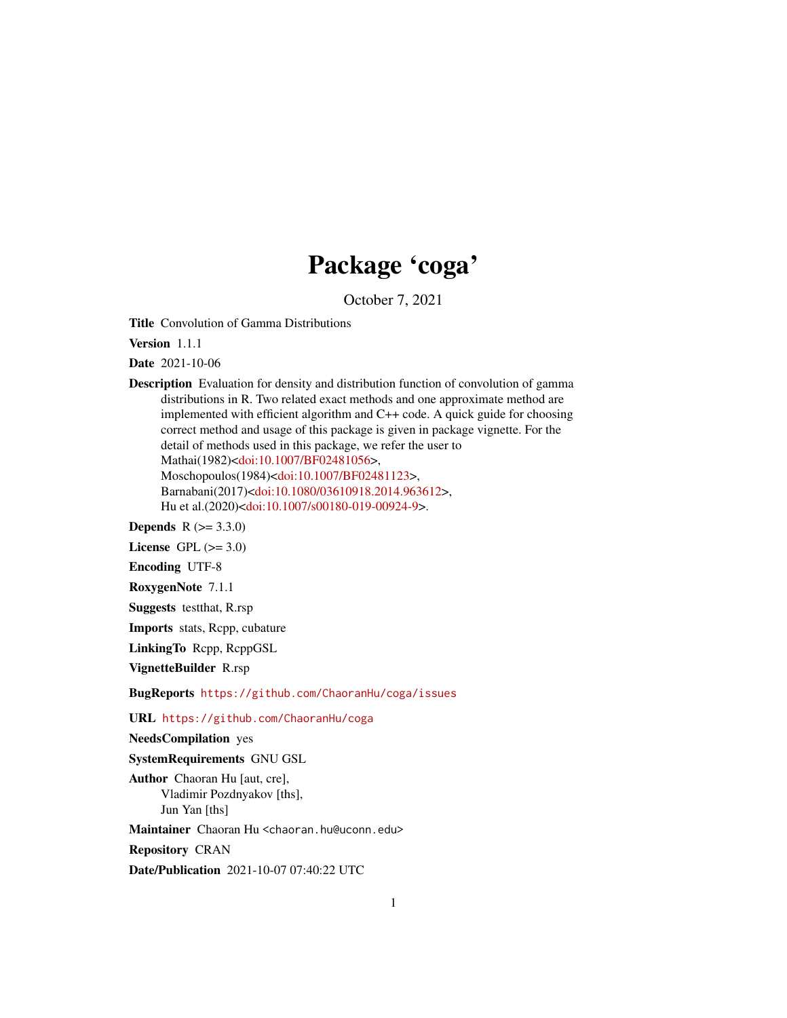## Package 'coga'

October 7, 2021

Title Convolution of Gamma Distributions

Version 1.1.1

Date 2021-10-06

Description Evaluation for density and distribution function of convolution of gamma distributions in R. Two related exact methods and one approximate method are implemented with efficient algorithm and C++ code. A quick guide for choosing correct method and usage of this package is given in package vignette. For the detail of methods used in this package, we refer the user to Mathai(1982)[<doi:10.1007/BF02481056>](https://doi.org/10.1007/BF02481056), Moschopoulos(1984)[<doi:10.1007/BF02481123>](https://doi.org/10.1007/BF02481123), Barnabani(2017)[<doi:10.1080/03610918.2014.963612>](https://doi.org/10.1080/03610918.2014.963612), Hu et al.(2020)[<doi:10.1007/s00180-019-00924-9>](https://doi.org/10.1007/s00180-019-00924-9).

**Depends**  $R (= 3.3.0)$ 

License GPL  $(>= 3.0)$ 

Encoding UTF-8

RoxygenNote 7.1.1

Suggests testthat, R.rsp

Imports stats, Rcpp, cubature

LinkingTo Rcpp, RcppGSL

VignetteBuilder R.rsp

BugReports <https://github.com/ChaoranHu/coga/issues>

URL <https://github.com/ChaoranHu/coga>

NeedsCompilation yes

SystemRequirements GNU GSL

Author Chaoran Hu [aut, cre], Vladimir Pozdnyakov [ths], Jun Yan [ths]

Maintainer Chaoran Hu <chaoran.hu@uconn.edu>

Repository CRAN

Date/Publication 2021-10-07 07:40:22 UTC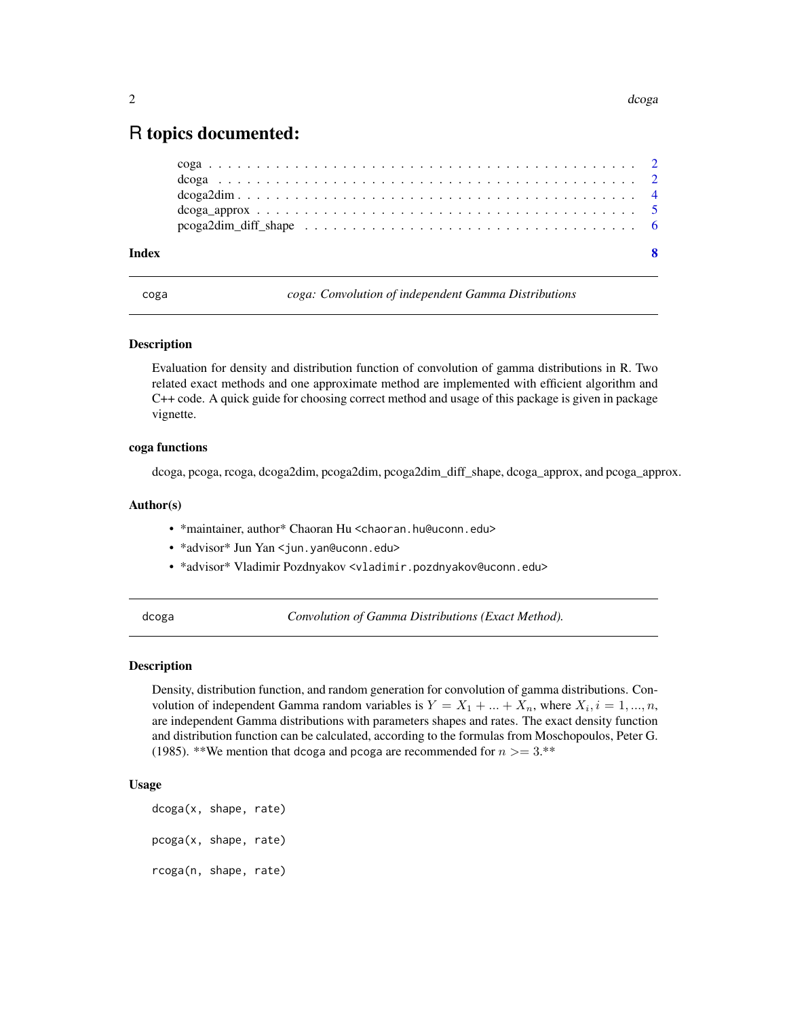### <span id="page-1-0"></span>R topics documented:

| Index |  |  |  |  |  |  |  |  |  |  |  |  |  |  |  |
|-------|--|--|--|--|--|--|--|--|--|--|--|--|--|--|--|
|       |  |  |  |  |  |  |  |  |  |  |  |  |  |  |  |
|       |  |  |  |  |  |  |  |  |  |  |  |  |  |  |  |
|       |  |  |  |  |  |  |  |  |  |  |  |  |  |  |  |
|       |  |  |  |  |  |  |  |  |  |  |  |  |  |  |  |
|       |  |  |  |  |  |  |  |  |  |  |  |  |  |  |  |

coga *coga: Convolution of independent Gamma Distributions*

#### Description

Evaluation for density and distribution function of convolution of gamma distributions in R. Two related exact methods and one approximate method are implemented with efficient algorithm and C++ code. A quick guide for choosing correct method and usage of this package is given in package vignette.

#### coga functions

dcoga, pcoga, rcoga, dcoga2dim, pcoga2dim, pcoga2dim\_diff\_shape, dcoga\_approx, and pcoga\_approx.

#### Author(s)

- \*maintainer, author\* Chaoran Hu <chaoran.hu@uconn.edu>
- \*advisor\* Jun Yan <jun.yan@uconn.edu>
- \*advisor\* Vladimir Pozdnyakov <vladimir.pozdnyakov@uconn.edu>

dcoga *Convolution of Gamma Distributions (Exact Method).*

#### **Description**

Density, distribution function, and random generation for convolution of gamma distributions. Convolution of independent Gamma random variables is  $Y = X_1 + ... + X_n$ , where  $X_i$ ,  $i = 1, ..., n$ , are independent Gamma distributions with parameters shapes and rates. The exact density function and distribution function can be calculated, according to the formulas from Moschopoulos, Peter G. (1985). \*\*We mention that dcoga and pcoga are recommended for  $n > = 3$ .\*\*

#### Usage

```
dcoga(x, shape, rate)
pcoga(x, shape, rate)
rcoga(n, shape, rate)
```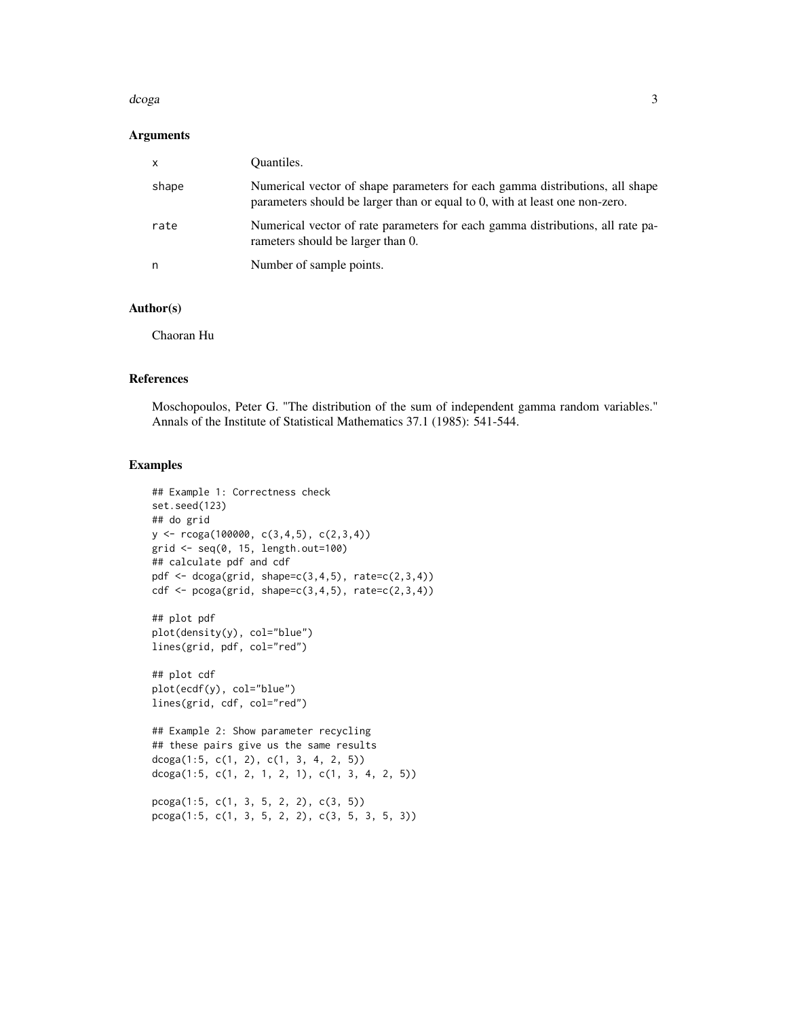#### d*coga* 3

#### Arguments

| $\mathsf{x}$ | Quantiles.                                                                                                                                                  |
|--------------|-------------------------------------------------------------------------------------------------------------------------------------------------------------|
| shape        | Numerical vector of shape parameters for each gamma distributions, all shape<br>parameters should be larger than or equal to 0, with at least one non-zero. |
| rate         | Numerical vector of rate parameters for each gamma distributions, all rate pa-<br>rameters should be larger than 0.                                         |
| n            | Number of sample points.                                                                                                                                    |

#### Author(s)

Chaoran Hu

#### References

Moschopoulos, Peter G. "The distribution of the sum of independent gamma random variables." Annals of the Institute of Statistical Mathematics 37.1 (1985): 541-544.

#### Examples

```
## Example 1: Correctness check
set.seed(123)
## do grid
y <- rcoga(100000, c(3,4,5), c(2,3,4))
grid <- seq(0, 15, length.out=100)
## calculate pdf and cdf
pdf \leq dcoga(grid, shape=c(3,4,5), rate=c(2,3,4))
cdf \leq pcoga(grid, shape=c(3,4,5), rate=c(2,3,4))
## plot pdf
plot(density(y), col="blue")
lines(grid, pdf, col="red")
## plot cdf
plot(ecdf(y), col="blue")
lines(grid, cdf, col="red")
## Example 2: Show parameter recycling
## these pairs give us the same results
dcoga(1:5, c(1, 2), c(1, 3, 4, 2, 5))
dcoga(1:5, c(1, 2, 1, 2, 1), c(1, 3, 4, 2, 5))
pcoga(1:5, c(1, 3, 5, 2, 2), c(3, 5))
```
pcoga(1:5, c(1, 3, 5, 2, 2), c(3, 5, 3, 5, 3))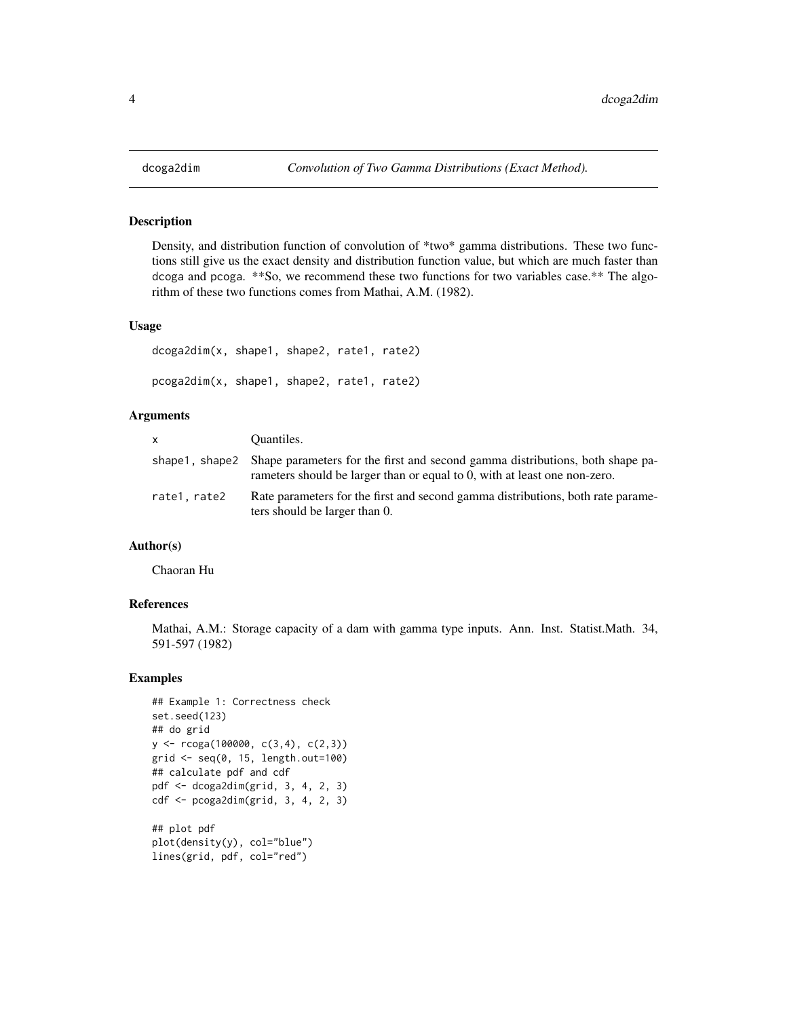#### Description

Density, and distribution function of convolution of \*two\* gamma distributions. These two functions still give us the exact density and distribution function value, but which are much faster than dcoga and pcoga. \*\*So, we recommend these two functions for two variables case.\*\* The algorithm of these two functions comes from Mathai, A.M. (1982).

#### Usage

```
dcoga2dim(x, shape1, shape2, rate1, rate2)
pcoga2dim(x, shape1, shape2, rate1, rate2)
```
#### Arguments

| X            | Quantiles.                                                                                                                                                                  |
|--------------|-----------------------------------------------------------------------------------------------------------------------------------------------------------------------------|
|              | shape 1, shape 2 Shape parameters for the first and second gamma distributions, both shape pa-<br>rameters should be larger than or equal to 0, with at least one non-zero. |
| rate1, rate2 | Rate parameters for the first and second gamma distributions, both rate parame-<br>ters should be larger than 0.                                                            |

#### Author(s)

Chaoran Hu

#### References

Mathai, A.M.: Storage capacity of a dam with gamma type inputs. Ann. Inst. Statist.Math. 34, 591-597 (1982)

#### Examples

```
## Example 1: Correctness check
set.seed(123)
## do grid
y <- rcoga(100000, c(3,4), c(2,3))
grid <- seq(0, 15, length.out=100)
## calculate pdf and cdf
pdf <- dcoga2dim(grid, 3, 4, 2, 3)
cdf <- pcoga2dim(grid, 3, 4, 2, 3)
## plot pdf
plot(density(y), col="blue")
lines(grid, pdf, col="red")
```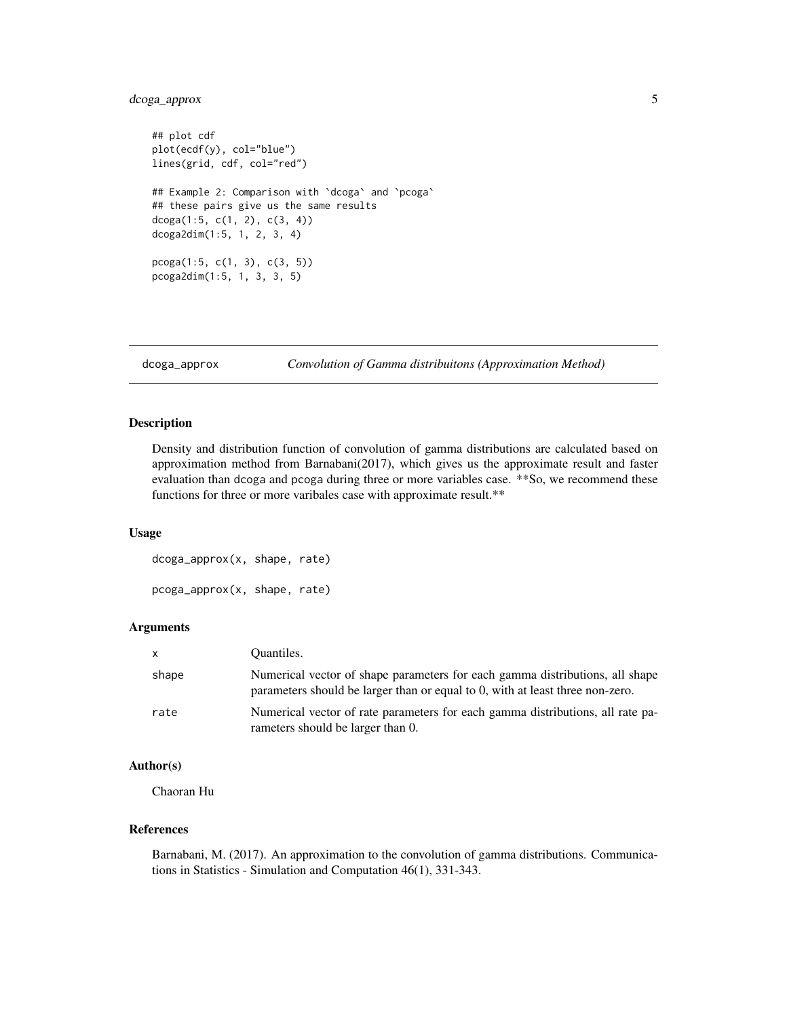#### <span id="page-4-0"></span>dcoga\_approx 5

```
## plot cdf
plot(ecdf(y), col="blue")
lines(grid, cdf, col="red")
## Example 2: Comparison with `dcoga` and `pcoga`
## these pairs give us the same results
dcoga(1:5, c(1, 2), c(3, 4))dcoga2dim(1:5, 1, 2, 3, 4)
pcoga(1:5, c(1, 3), c(3, 5))
pcoga2dim(1:5, 1, 3, 3, 5)
```
dcoga\_approx *Convolution of Gamma distribuitons (Approximation Method)*

#### Description

Density and distribution function of convolution of gamma distributions are calculated based on approximation method from Barnabani(2017), which gives us the approximate result and faster evaluation than dcoga and pcoga during three or more variables case. \*\*So, we recommend these functions for three or more varibales case with approximate result.\*\*

#### Usage

dcoga\_approx(x, shape, rate) pcoga\_approx(x, shape, rate)

#### Arguments

| $\mathsf{X}$ | Quantiles.                                                                                                                                                    |
|--------------|---------------------------------------------------------------------------------------------------------------------------------------------------------------|
| shape        | Numerical vector of shape parameters for each gamma distributions, all shape<br>parameters should be larger than or equal to 0, with at least three non-zero. |
| rate         | Numerical vector of rate parameters for each gamma distributions, all rate pa-<br>rameters should be larger than 0.                                           |

#### Author(s)

Chaoran Hu

#### References

Barnabani, M. (2017). An approximation to the convolution of gamma distributions. Communications in Statistics - Simulation and Computation 46(1), 331-343.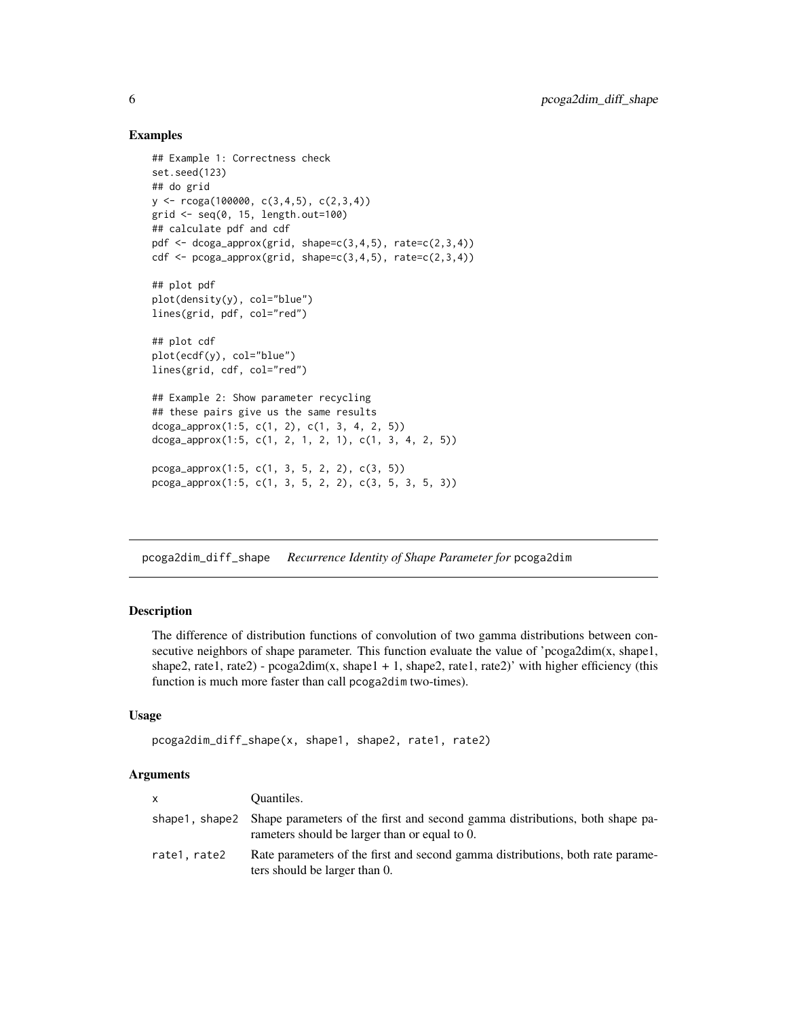#### Examples

```
## Example 1: Correctness check
set.seed(123)
## do grid
y \leftarrow r \cos(100000, c(3,4,5), c(2,3,4))grid <- seq(0, 15, length.out=100)
## calculate pdf and cdf
pdf \leq dcoga_approx(grid, shape=c(3,4,5), rate=c(2,3,4))
cdf \leq pcoga_approx(grid, shape=c(3,4,5), rate=c(2,3,4))
## plot pdf
plot(density(y), col="blue")
lines(grid, pdf, col="red")
## plot cdf
plot(ecdf(y), col="blue")
lines(grid, cdf, col="red")
## Example 2: Show parameter recycling
## these pairs give us the same results
dcoga_approx(1:5, c(1, 2), c(1, 3, 4, 2, 5))
dcoga_approx(1:5, c(1, 2, 1, 2, 1), c(1, 3, 4, 2, 5))pcoga_approx(1:5, c(1, 3, 5, 2, 2), c(3, 5))
pcoga_approx(1:5, c(1, 3, 5, 2, 2), c(3, 5, 3, 5, 3))
```
pcoga2dim\_diff\_shape *Recurrence Identity of Shape Parameter for* pcoga2dim

#### Description

The difference of distribution functions of convolution of two gamma distributions between consecutive neighbors of shape parameter. This function evaluate the value of 'pcoga2dim(x, shape1, shape2, rate1, rate2) -  $pcoga2dim(x, shape1 + 1, shape2, rate1, rate2)'$  with higher efficiency (this function is much more faster than call pcoga2dim two-times).

#### Usage

```
pcoga2dim_diff_shape(x, shape1, shape2, rate1, rate2)
```
#### Arguments

| <b>X</b>     | Quantiles.                                                                                                                                     |
|--------------|------------------------------------------------------------------------------------------------------------------------------------------------|
|              | shape 1, shape 2 Shape parameters of the first and second gamma distributions, both shape pa-<br>rameters should be larger than or equal to 0. |
| rate1, rate2 | Rate parameters of the first and second gamma distributions, both rate parame-<br>ters should be larger than 0.                                |

<span id="page-5-0"></span>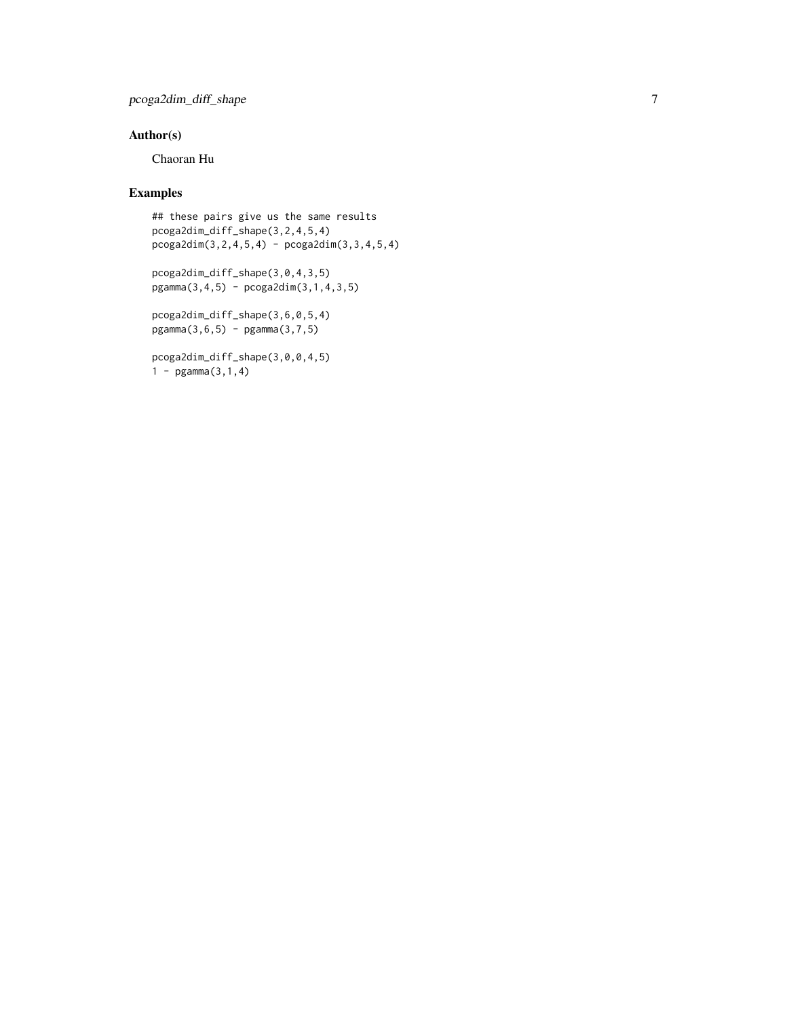#### pcoga2dim\_diff\_shape 7

#### Author(s)

Chaoran Hu

#### Examples

```
## these pairs give us the same results
pcoga2dim_diff_shape(3,2,4,5,4)
pcoga2dim(3,2,4,5,4) - pcoga2dim(3,3,4,5,4)
```

```
pcoga2dim_diff_shape(3,0,4,3,5)
pgamma(3, 4, 5) - pcoga2dim(3, 1, 4, 3, 5)
```
pcoga2dim\_diff\_shape(3,6,0,5,4) pgamma(3,6,5) - pgamma(3,7,5)

```
pcoga2dim_diff_shape(3,0,0,4,5)
1 - pgamma(3,1,4)
```